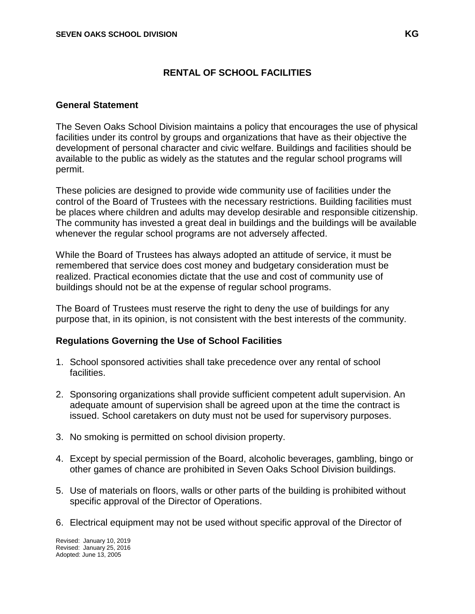## **RENTAL OF SCHOOL FACILITIES**

#### **General Statement**

The Seven Oaks School Division maintains a policy that encourages the use of physical facilities under its control by groups and organizations that have as their objective the development of personal character and civic welfare. Buildings and facilities should be available to the public as widely as the statutes and the regular school programs will permit.

These policies are designed to provide wide community use of facilities under the control of the Board of Trustees with the necessary restrictions. Building facilities must be places where children and adults may develop desirable and responsible citizenship. The community has invested a great deal in buildings and the buildings will be available whenever the regular school programs are not adversely affected.

While the Board of Trustees has always adopted an attitude of service, it must be remembered that service does cost money and budgetary consideration must be realized. Practical economies dictate that the use and cost of community use of buildings should not be at the expense of regular school programs.

The Board of Trustees must reserve the right to deny the use of buildings for any purpose that, in its opinion, is not consistent with the best interests of the community.

## **Regulations Governing the Use of School Facilities**

- 1. School sponsored activities shall take precedence over any rental of school facilities.
- 2. Sponsoring organizations shall provide sufficient competent adult supervision. An adequate amount of supervision shall be agreed upon at the time the contract is issued. School caretakers on duty must not be used for supervisory purposes.
- 3. No smoking is permitted on school division property.
- 4. Except by special permission of the Board, alcoholic beverages, gambling, bingo or other games of chance are prohibited in Seven Oaks School Division buildings.
- 5. Use of materials on floors, walls or other parts of the building is prohibited without specific approval of the Director of Operations.
- 6. Electrical equipment may not be used without specific approval of the Director of

Revised: January 10, 2019 Revised: January 25, 2016 Adopted: June 13, 2005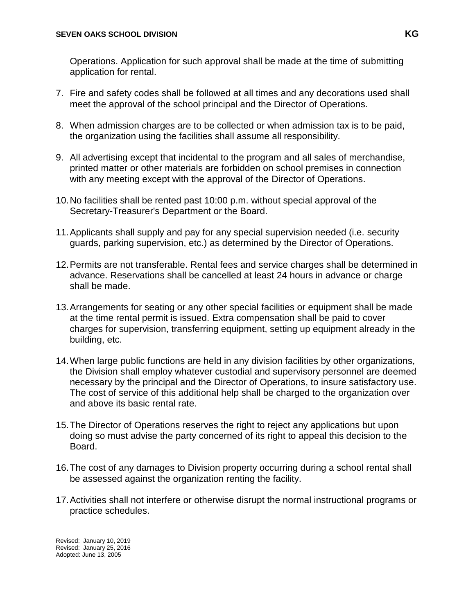Operations. Application for such approval shall be made at the time of submitting application for rental.

- 7. Fire and safety codes shall be followed at all times and any decorations used shall meet the approval of the school principal and the Director of Operations.
- 8. When admission charges are to be collected or when admission tax is to be paid, the organization using the facilities shall assume all responsibility.
- 9. All advertising except that incidental to the program and all sales of merchandise, printed matter or other materials are forbidden on school premises in connection with any meeting except with the approval of the Director of Operations.
- 10.No facilities shall be rented past 10:00 p.m. without special approval of the Secretary-Treasurer's Department or the Board.
- 11.Applicants shall supply and pay for any special supervision needed (i.e. security guards, parking supervision, etc.) as determined by the Director of Operations.
- 12.Permits are not transferable. Rental fees and service charges shall be determined in advance. Reservations shall be cancelled at least 24 hours in advance or charge shall be made.
- 13.Arrangements for seating or any other special facilities or equipment shall be made at the time rental permit is issued. Extra compensation shall be paid to cover charges for supervision, transferring equipment, setting up equipment already in the building, etc.
- 14.When large public functions are held in any division facilities by other organizations, the Division shall employ whatever custodial and supervisory personnel are deemed necessary by the principal and the Director of Operations, to insure satisfactory use. The cost of service of this additional help shall be charged to the organization over and above its basic rental rate.
- 15.The Director of Operations reserves the right to reject any applications but upon doing so must advise the party concerned of its right to appeal this decision to the Board.
- 16.The cost of any damages to Division property occurring during a school rental shall be assessed against the organization renting the facility.
- 17.Activities shall not interfere or otherwise disrupt the normal instructional programs or practice schedules.

Revised: January 10, 2019 Revised: January 25, 2016 Adopted: June 13, 2005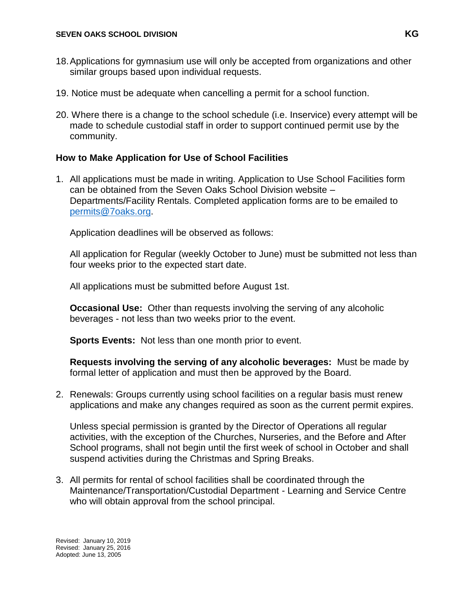- 18.Applications for gymnasium use will only be accepted from organizations and other similar groups based upon individual requests.
- 19. Notice must be adequate when cancelling a permit for a school function.
- 20. Where there is a change to the school schedule (i.e. Inservice) every attempt will be made to schedule custodial staff in order to support continued permit use by the community.

## **How to Make Application for Use of School Facilities**

1. All applications must be made in writing. Application to Use School Facilities form can be obtained from the Seven Oaks School Division website – Departments/Facility Rentals. Completed application forms are to be emailed to [permits@7oaks.org.](mailto:permits@7oaks.org)

Application deadlines will be observed as follows:

All application for Regular (weekly October to June) must be submitted not less than four weeks prior to the expected start date.

All applications must be submitted before August 1st.

**Occasional Use:** Other than requests involving the serving of any alcoholic beverages - not less than two weeks prior to the event.

**Sports Events:** Not less than one month prior to event.

**Requests involving the serving of any alcoholic beverages:** Must be made by formal letter of application and must then be approved by the Board.

2. Renewals: Groups currently using school facilities on a regular basis must renew applications and make any changes required as soon as the current permit expires.

Unless special permission is granted by the Director of Operations all regular activities, with the exception of the Churches, Nurseries, and the Before and After School programs, shall not begin until the first week of school in October and shall suspend activities during the Christmas and Spring Breaks.

3. All permits for rental of school facilities shall be coordinated through the Maintenance/Transportation/Custodial Department - Learning and Service Centre who will obtain approval from the school principal.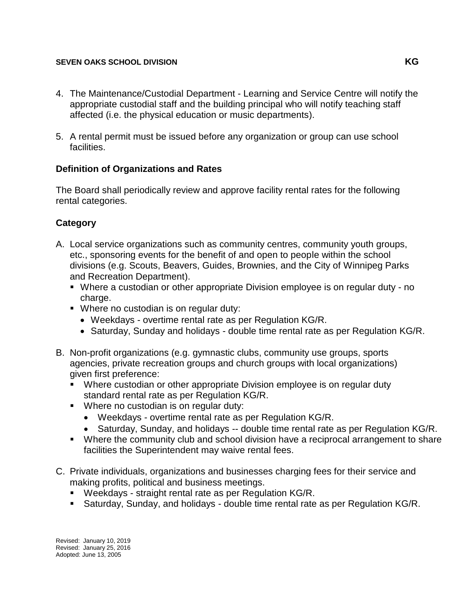#### **SEVEN OAKS SCHOOL DIVISION KG**

- 4. The Maintenance/Custodial Department Learning and Service Centre will notify the appropriate custodial staff and the building principal who will notify teaching staff affected (i.e. the physical education or music departments).
- 5. A rental permit must be issued before any organization or group can use school facilities.

## **Definition of Organizations and Rates**

The Board shall periodically review and approve facility rental rates for the following rental categories.

# **Category**

- A. Local service organizations such as community centres, community youth groups, etc., sponsoring events for the benefit of and open to people within the school divisions (e.g. Scouts, Beavers, Guides, Brownies, and the City of Winnipeg Parks and Recreation Department).
	- Where a custodian or other appropriate Division employee is on regular duty no charge.
	- Where no custodian is on regular duty:
		- Weekdays overtime rental rate as per Regulation KG/R.
		- Saturday, Sunday and holidays double time rental rate as per Regulation KG/R.
- B. Non-profit organizations (e.g. gymnastic clubs, community use groups, sports agencies, private recreation groups and church groups with local organizations) given first preference:
	- Where custodian or other appropriate Division employee is on regular duty standard rental rate as per Regulation KG/R.
	- **Where no custodian is on regular duty:** 
		- Weekdays overtime rental rate as per Regulation KG/R.
		- Saturday, Sunday, and holidays -- double time rental rate as per Regulation KG/R.
	- Where the community club and school division have a reciprocal arrangement to share facilities the Superintendent may waive rental fees.
- C. Private individuals, organizations and businesses charging fees for their service and making profits, political and business meetings.
	- Weekdays straight rental rate as per Regulation KG/R.
	- Saturday, Sunday, and holidays double time rental rate as per Regulation KG/R.

Revised: January 10, 2019 Revised: January 25, 2016 Adopted: June 13, 2005